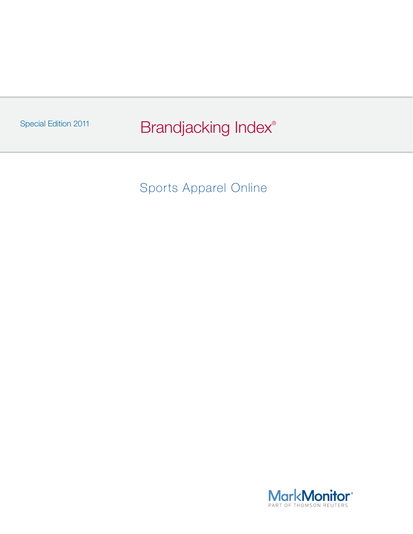Special Edition 2011 **Brandjacking Index**<sup>®</sup>

Sports Apparel Online

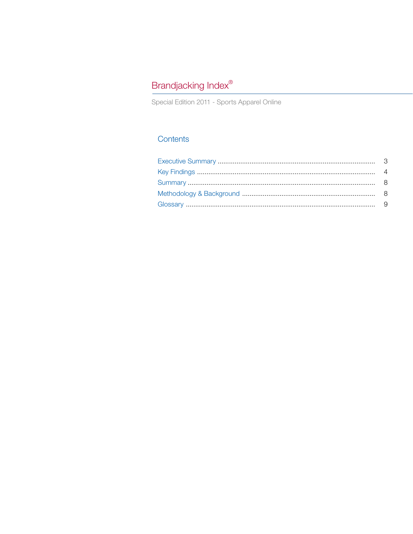# Brandjacking Index®

Special Edition 2011 - Sports Apparel Online

## Contents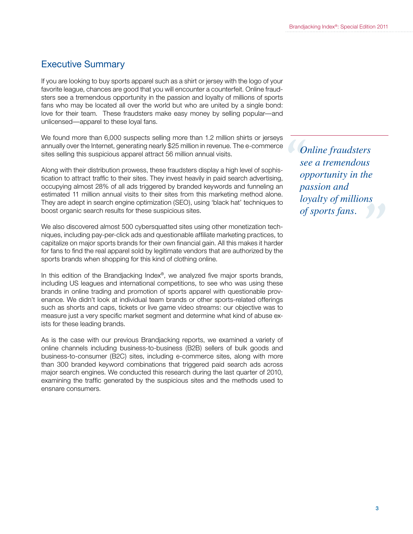# Executive Summary

If you are looking to buy sports apparel such as a shirt or jersey with the logo of your favorite league, chances are good that you will encounter a counterfeit. Online fraudsters see a tremendous opportunity in the passion and loyalty of millions of sports fans who may be located all over the world but who are united by a single bond: love for their team. These fraudsters make easy money by selling popular—and unlicensed—apparel to these loyal fans.

We found more than 6,000 suspects selling more than 1.2 million shirts or jerseys annually over the Internet, generating nearly \$25 million in revenue. The e-commerce sites selling this suspicious apparel attract 56 million annual visits.

Along with their distribution prowess, these fraudsters display a high level of sophistication to attract traffic to their sites. They invest heavily in paid search advertising, occupying almost 28% of all ads triggered by branded keywords and funneling an estimated 11 million annual visits to their sites from this marketing method alone. They are adept in search engine optimization (SEO), using 'black hat' techniques to boost organic search results for these suspicious sites.

We also discovered almost 500 cybersquatted sites using other monetization techniques, including pay-per-click ads and questionable affiliate marketing practices, to capitalize on major sports brands for their own financial gain. All this makes it harder for fans to find the real apparel sold by legitimate vendors that are authorized by the sports brands when shopping for this kind of clothing online.

In this edition of the Brandjacking Index®, we analyzed five major sports brands, including US leagues and international competitions, to see who was using these brands in online trading and promotion of sports apparel with questionable provenance. We didn't look at individual team brands or other sports-related offerings such as shorts and caps, tickets or live game video streams: our objective was to measure just a very specific market segment and determine what kind of abuse exists for these leading brands.

As is the case with our previous Brandjacking reports, we examined a variety of online channels including business-to-business (B2B) sellers of bulk goods and business-to-consumer (B2C) sites, including e-commerce sites, along with more than 300 branded keyword combinations that triggered paid search ads across major search engines. We conducted this research during the last quarter of 2010, examining the traffic generated by the suspicious sites and the methods used to ensnare consumers.

**1**<br> **1**<br> **1**<br> **1**<br> **1**<br> **1**<br> **1**<br> **1**  *" toyatty of mutions of sports fans. Online fraudsters see a tremendous opportunity in the passion and loyalty of millions of sports fans.*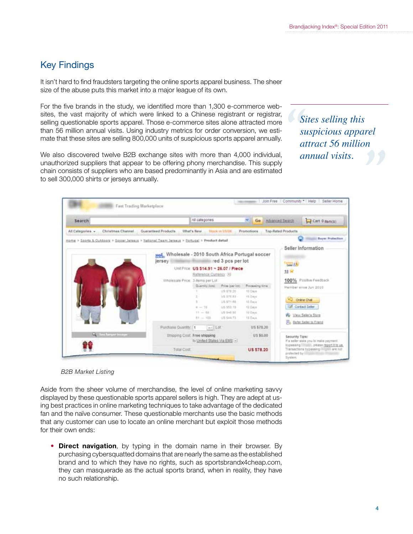# Key Findings

It isn't hard to find fraudsters targeting the online sports apparel business. The sheer size of the abuse puts this market into a major league of its own.

For the five brands in the study, we identified more than 1,300 e-commerce websites, the vast majority of which were linked to a Chinese registrant or registrar, selling questionable sports apparel. Those e-commerce sites alone attracted more than 56 million annual visits. Using industry metrics for order conversion, we estimate that these sites are selling 800,000 units of suspicious sports apparel annually.

We also discovered twelve B2B exchange sites with more than 4,000 individual, unauthorized suppliers that appear to be offering phony merchandise. This supply chain consists of suppliers who are based predominantly in Asia and are estimated to sell 300,000 shirts or jerseys annually.

**1**<br>
Si<br>
su<br>
ai<br>
ai annual visits. *Sites selling this suspicious apparel attract 56 million annual visits.*

| Search                                                                                                                                         |                                                               | All categories                                                   |                                      | $\vee$ Go                     | Advanced Search                       | Cart 0 demos)                                                                           |  |
|------------------------------------------------------------------------------------------------------------------------------------------------|---------------------------------------------------------------|------------------------------------------------------------------|--------------------------------------|-------------------------------|---------------------------------------|-----------------------------------------------------------------------------------------|--|
| <b>Christmas Channel</b><br>All Categories. «<br>Home > Soorts & Outdoors > Soccer Jerseys > National Team Jerseys > Portugal > Product detail | Guaranteed Products                                           | What's New                                                       | <b>Stock in USSK</b>                 | Promotions                    | <b>Top-Rated Products</b>             | <b>Buyer Protection</b>                                                                 |  |
|                                                                                                                                                | Minds Wholesale - 2010 South Africa Portugal soccer<br>jersey |                                                                  | red 3 pcs per lot                    |                               | Seller Information<br><b>Saul 830</b> |                                                                                         |  |
|                                                                                                                                                |                                                               | Unit Price: US \$14.91 ~ 26.07 / Piece<br>Reference Currency (3) |                                      |                               | 18 宫<br>100% Positive Feedback        |                                                                                         |  |
|                                                                                                                                                | Viholesale Price: 3 Nems per Lot                              | Quantity (fore)                                                  | Fring loar lot:<br>119.972.20        | Processing time<br>10 Daim    |                                       | Member since Jun 2010                                                                   |  |
|                                                                                                                                                |                                                               | $4 - 70$                                                         | L/S 979 85<br>US STERS<br>US \$53.19 | HI Days<br>10 Days<br>10 Days | <b>VOI Online Chat</b>                | Contact Seller                                                                          |  |
|                                                                                                                                                |                                                               | $11 - 68$<br>$81 - 100$                                          | US 945.95<br>125 \$44.73             | 10 Days<br>12 Days            |                                       | W. View Select State<br>Fo. Refer Seler to Friend                                       |  |
|                                                                                                                                                | Purchase Quantity: 1                                          | $-14 - 16t$                                                      |                                      | US \$78.20                    |                                       |                                                                                         |  |
| <b>Q</b> first larger in spe-                                                                                                                  |                                                               | <b>Ehipping Cost Free shipping</b><br>to United States Via EMS - |                                      | <b>US\$0.00</b>               | Security Tips:                        | If a nefer sixts you in make payment                                                    |  |
|                                                                                                                                                | Total Cost                                                    |                                                                  |                                      | <b>US \$78.20</b>             | profected by                          | typassing littuate, please report it to us.<br>Transactions hypessing illigible are not |  |

*B2B Market Listing*

Aside from the sheer volume of merchandise, the level of online marketing savvy displayed by these questionable sports apparel sellers is high. They are adept at using best practices in online marketing techniques to take advantage of the dedicated fan and the naïve consumer. These questionable merchants use the basic methods that any customer can use to locate an online merchant but exploit those methods for their own ends:

• **Direct navigation**, by typing in the domain name in their browser. By purchasing cybersquatted domains that are nearly the same as the established brand and to which they have no rights, such as sportsbrandx4cheap.com, they can masquerade as the actual sports brand, when in reality, they have no such relationship.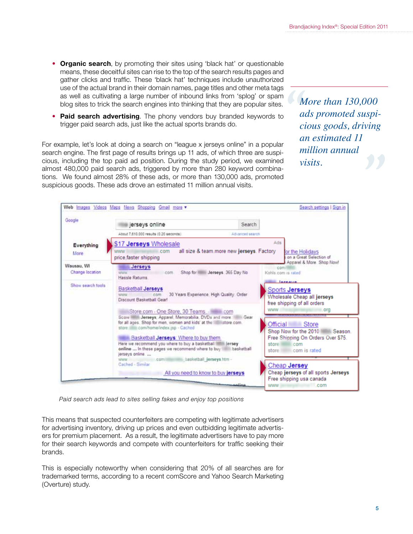- • **Organic search**, by promoting their sites using 'black hat' or questionable means, these deceitful sites can rise to the top of the search results pages and gather clicks and traffic. These 'black hat' techniques include unauthorized use of the actual brand in their domain names, page titles and other meta tags as well as cultivating a large number of inbound links from 'splog' or spam blog sites to trick the search engines into thinking that they are popular sites.
- **Paid search advertising**. The phony vendors buy branded keywords to trigger paid search ads, just like the actual sports brands do.

For example, let's look at doing a search on "league x jerseys online" in a popular search engine. The first page of results brings up 11 ads, of which three are suspicious, including the top paid ad position. During the study period, we examined almost 480,000 paid search ads, triggered by more than 280 keyword combinations. We found almost 28% of these ads, or more than 130,000 ads, promoted suspicious goods. These ads drove an estimated 11 million annual visits.

**1**<br> *a*<br> *ca*<br> *ca*<br> *a More than 130,000 ads promoted suspicious goods, driving an estimated 11 million annual visits.*



*Paid search ads lead to sites selling fakes and enjoy top positions*

This means that suspected counterfeiters are competing with legitimate advertisers for advertising inventory, driving up prices and even outbidding legitimate advertisers for premium placement. As a result, the legitimate advertisers have to pay more for their search keywords and compete with counterfeiters for traffic seeking their brands.

This is especially noteworthy when considering that 20% of all searches are for trademarked terms, according to a recent comScore and Yahoo Search Marketing (Overture) study.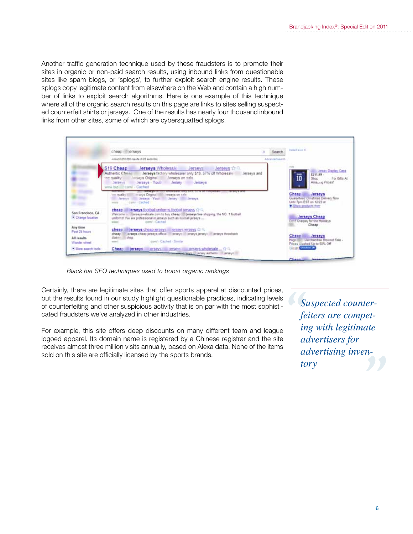Another traffic generation technique used by these fraudsters is to promote their sites in organic or non-paid search results, using inbound links from questionable sites like spam blogs, or 'splogs', to further exploit search engine results. These splogs copy legitimate content from elsewhere on the Web and contain a high number of links to exploit search algorithms. Here is one example of this technique where all of the organic search results on this page are links to sites selling suspected counterfeit shirts or jerseys. One of the results has nearly four thousand inbound links from other sites, some of which are cybersquatted splogs.

|                                          | cheap lill lerseys                                                                                                                                                                                                                                                                       | Search          | inded a ct +                                                                                                    |  |
|------------------------------------------|------------------------------------------------------------------------------------------------------------------------------------------------------------------------------------------------------------------------------------------------------------------------------------------|-----------------|-----------------------------------------------------------------------------------------------------------------|--|
|                                          | Abitut 8.810.000 results (5.23 eaconds)                                                                                                                                                                                                                                                  | Advented search |                                                                                                                 |  |
|                                          | S19 Cheap<br>Jerseys Wholesale Jerseys<br><b>Jerseys</b> or O<br>Authentic Cheng Jerseys factory wholesaler only \$19, 57% of Wholesale Jerseys and<br>lerseys Original Merseys on nale<br>for nuality<br>Jerseys Youth Jersey Jerseys<br><b>Jaranya 200</b><br>www.biz- 2 com/ - Cached |                 | <b>Billy Jersey Disclay Case</b><br>\$211.99 -<br>$-$<br>10<br>Shop For Gifts At<br>Ama <sub>ning</sub> Prices! |  |
|                                          | ton quality !!!<br>in seys Original III In ranys on sale<br>Jerseys - Jerseys Your: Jersey Jerseys<br>www.  came - Cached                                                                                                                                                                |                 | Cheap of<br>Jerseys<br>Guaranteux chinatrias Delivery New<br>Until Tom EST on 12/23 at<br># Shaw products from  |  |
| San Francisco, CA<br>Charige location    | cheap in lerseys football unforms football ierseys to a.<br>Welcome L. Terreyswebsale com to buy cheap Tijerseys free shoping, the NO. T football<br>uniforms! We are professional in jerseys such as foothall jerseys<br>comi i Cachad<br>White/C                                       |                 | <b>Jerseys Cheap</b><br>Don't Overpay for the Holidays.<br>Cheap                                                |  |
| Any time<br>Past 24 hours<br>All results | $\mu$ rseys cheap ierseys - erseys ierseys in $\approx$<br>cheap.<br>cheap perseys cheap jerseys official proteys proteys peseys peseys throuback<br>class - Tring<br>cont / Cached - Similar                                                                                            |                 | Cheap Jerseys<br>Huso III Uarchandse Blownat Sale -                                                             |  |

*Black hat SEO techniques used to boost organic rankings*

Certainly, there are legitimate sites that offer sports apparel at discounted prices, but the results found in our study highlight questionable practices, indicating levels of counterfeiting and other suspicious activity that is on par with the most sophisticated fraudsters we've analyzed in other industries.

For example, this site offers deep discounts on many different team and league logoed apparel. Its domain name is registered by a Chinese registrar and the site receives almost three million visits annually, based on Alexa data. None of the items sold on this site are officially licensed by the sports brands.

**S**<br> **S**<br> **i**<br> **i**<br> **i**<br> **a** advertising invention<br>tory *Suspected counterfeiters are competing with legitimate advertisers for advertising inventory*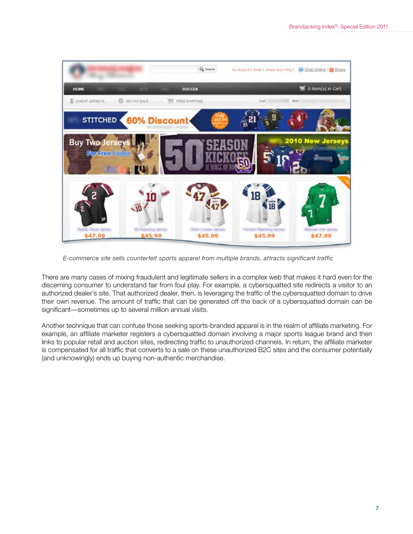

*E-commerce site sells counterfeit sports apparel from multiple brands, attracts significant traffic* 

There are many cases of mixing fraudulent and legitimate sellers in a complex web that makes it hard even for the discerning consumer to understand fair from foul play. For example, a cybersquatted site redirects a visitor to an authorized dealer's site. That authorized dealer, then, is leveraging the traffic of the cybersquatted domain to drive their own revenue. The amount of traffic that can be generated off the back of a cybersquatted domain can be significant—sometimes up to several million annual visits.

Another technique that can confuse those seeking sports-branded apparel is in the realm of affiliate marketing. For example, an affiliate marketer registers a cybersquatted domain involving a major sports league brand and then links to popular retail and auction sites, redirecting traffic to unauthorized channels. In return, the affiliate marketer is compensated for all traffic that converts to a sale on these unauthorized B2C sites and the consumer potentially (and unknowingly) ends up buying non-authentic merchandise.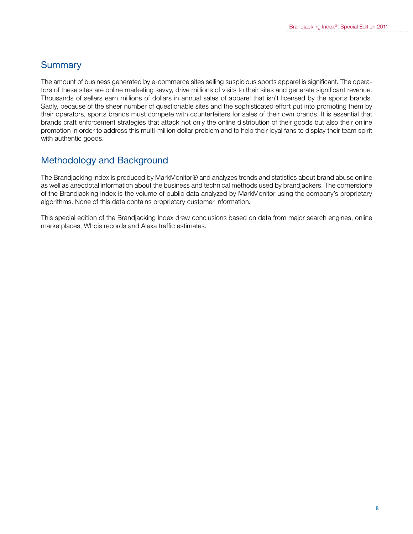### Summary

The amount of business generated by e-commerce sites selling suspicious sports apparel is significant. The operators of these sites are online marketing savvy, drive millions of visits to their sites and generate significant revenue. Thousands of sellers earn millions of dollars in annual sales of apparel that isn't licensed by the sports brands. Sadly, because of the sheer number of questionable sites and the sophisticated effort put into promoting them by their operators, sports brands must compete with counterfeiters for sales of their own brands. It is essential that brands craft enforcement strategies that attack not only the online distribution of their goods but also their online promotion in order to address this multi-million dollar problem and to help their loyal fans to display their team spirit with authentic goods.

# Methodology and Background

The Brandjacking Index is produced by MarkMonitor® and analyzes trends and statistics about brand abuse online as well as anecdotal information about the business and technical methods used by brandjackers. The cornerstone of the Brandjacking Index is the volume of public data analyzed by MarkMonitor using the company's proprietary algorithms. None of this data contains proprietary customer information.

This special edition of the Brandjacking Index drew conclusions based on data from major search engines, online marketplaces, Whois records and Alexa traffic estimates.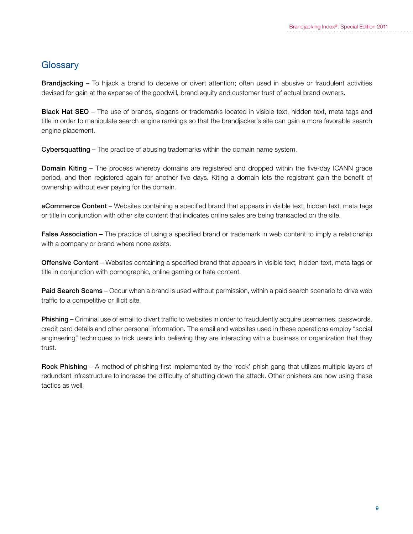## **Glossary**

Brandjacking – To hijack a brand to deceive or divert attention; often used in abusive or fraudulent activities devised for gain at the expense of the goodwill, brand equity and customer trust of actual brand owners.

Black Hat SEO – The use of brands, slogans or trademarks located in visible text, hidden text, meta tags and title in order to manipulate search engine rankings so that the brandjacker's site can gain a more favorable search engine placement.

Cybersquatting – The practice of abusing trademarks within the domain name system.

**Domain Kiting** – The process whereby domains are registered and dropped within the five-day ICANN grace period, and then registered again for another five days. Kiting a domain lets the registrant gain the benefit of ownership without ever paying for the domain.

eCommerce Content – Websites containing a specified brand that appears in visible text, hidden text, meta tags or title in conjunction with other site content that indicates online sales are being transacted on the site.

False Association – The practice of using a specified brand or trademark in web content to imply a relationship with a company or brand where none exists.

Offensive Content – Websites containing a specified brand that appears in visible text, hidden text, meta tags or title in conjunction with pornographic, online gaming or hate content.

Paid Search Scams – Occur when a brand is used without permission, within a paid search scenario to drive web traffic to a competitive or illicit site.

Phishing – Criminal use of email to divert traffic to websites in order to fraudulently acquire usernames, passwords, credit card details and other personal information. The email and websites used in these operations employ "social engineering" techniques to trick users into believing they are interacting with a business or organization that they trust.

Rock Phishing – A method of phishing first implemented by the 'rock' phish gang that utilizes multiple layers of redundant infrastructure to increase the difficulty of shutting down the attack. Other phishers are now using these tactics as well.